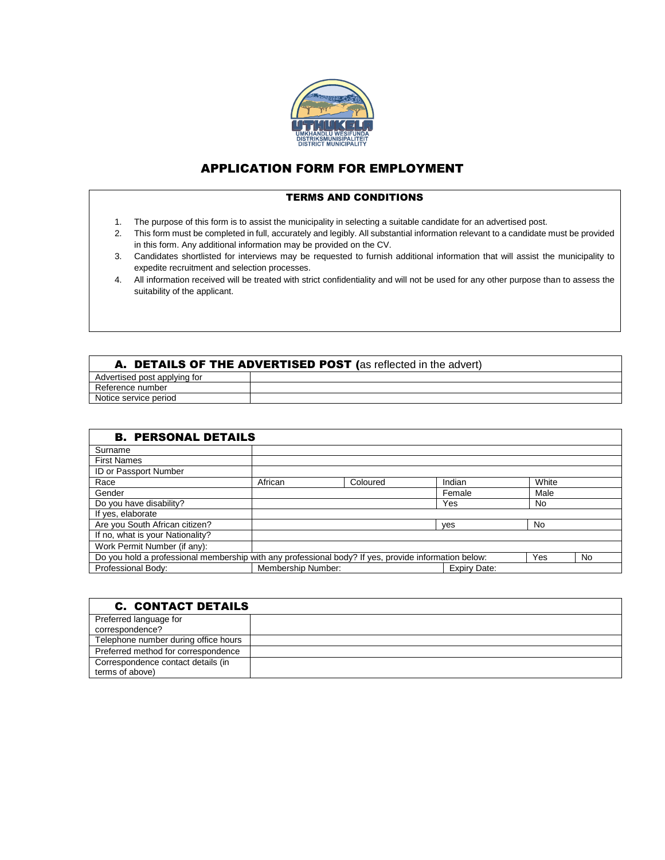

## APPLICATION FORM FOR EMPLOYMENT

## TERMS AND CONDITIONS

- 1. The purpose of this form is to assist the municipality in selecting a suitable candidate for an advertised post.
- 2. This form must be completed in full, accurately and legibly. All substantial information relevant to a candidate must be provided in this form. Any additional information may be provided on the CV.
- 3. Candidates shortlisted for interviews may be requested to furnish additional information that will assist the municipality to expedite recruitment and selection processes.
- 4. All information received will be treated with strict confidentiality and will not be used for any other purpose than to assess the suitability of the applicant.

| A. DETAILS OF THE ADVERTISED POST (as reflected in the advert) |  |  |  |  |
|----------------------------------------------------------------|--|--|--|--|
| Advertised post applying for                                   |  |  |  |  |
| Reference number                                               |  |  |  |  |
| Notice service period                                          |  |  |  |  |

| <b>B. PERSONAL DETAILS</b>                                                                                  |                                    |          |        |           |  |  |
|-------------------------------------------------------------------------------------------------------------|------------------------------------|----------|--------|-----------|--|--|
| Surname                                                                                                     |                                    |          |        |           |  |  |
| <b>First Names</b>                                                                                          |                                    |          |        |           |  |  |
| ID or Passport Number                                                                                       |                                    |          |        |           |  |  |
| Race                                                                                                        | African                            | Coloured | Indian | White     |  |  |
| Gender                                                                                                      |                                    |          | Female | Male      |  |  |
| Do you have disability?                                                                                     |                                    |          | Yes    | No.       |  |  |
| If yes, elaborate                                                                                           |                                    |          |        |           |  |  |
| Are you South African citizen?                                                                              |                                    |          | ves    | No        |  |  |
| If no, what is your Nationality?                                                                            |                                    |          |        |           |  |  |
| Work Permit Number (if any):                                                                                |                                    |          |        |           |  |  |
| Do you hold a professional membership with any professional body? If yes, provide information below:<br>Yes |                                    |          |        | <b>No</b> |  |  |
| Professional Body:                                                                                          | Membership Number:<br>Expiry Date: |          |        |           |  |  |

| <b>C. CONTACT DETAILS</b>            |  |
|--------------------------------------|--|
| Preferred language for               |  |
| correspondence?                      |  |
| Telephone number during office hours |  |
| Preferred method for correspondence  |  |
| Correspondence contact details (in   |  |
| terms of above)                      |  |